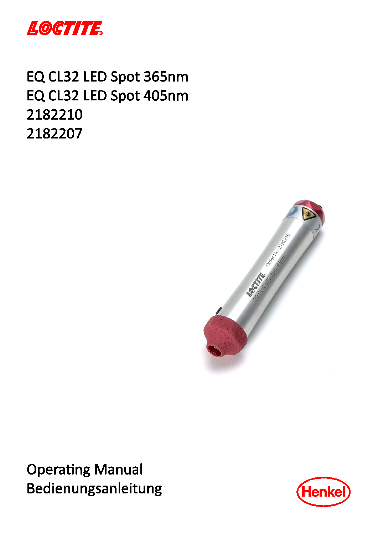

# EQ CL32 LED Spot 365nm EQ CL32 LED Spot 405nm 2182210 2182207



**Operating Manual** Bedienungsanleitung

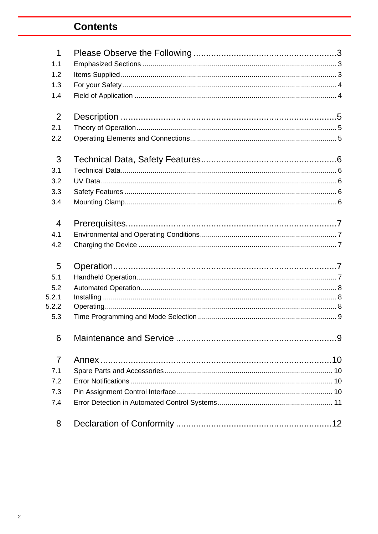## **Contents**

| $\mathbf 1$    |  |
|----------------|--|
| 1.1            |  |
| 1.2            |  |
| 1.3            |  |
| 1.4            |  |
| 2              |  |
| 2.1            |  |
| 2.2            |  |
| 3              |  |
| 3.1            |  |
| 3.2            |  |
| 3.3            |  |
| 3.4            |  |
| $\overline{4}$ |  |
| 4.1            |  |
| 4.2            |  |
| 5              |  |
| 5.1            |  |
| 5.2            |  |
| 5.2.1          |  |
| 5.2.2          |  |
| 5.3            |  |
| 6              |  |
| $\overline{7}$ |  |
| 7.1            |  |
| 7.2            |  |
| 7.3            |  |
| 7.4            |  |
| 8              |  |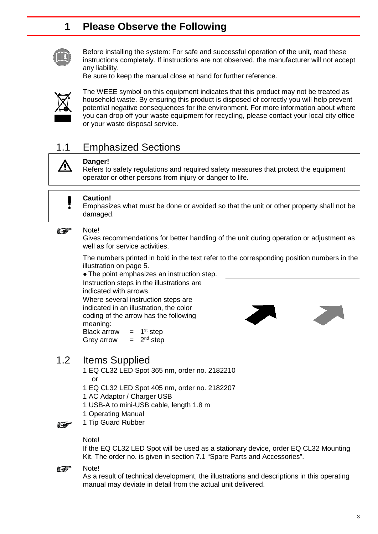### <span id="page-2-0"></span>**1 Please Observe the Following**



Before installing the system: For safe and successful operation of the unit, read these instructions completely. If instructions are not observed, the manufacturer will not accept any liability.

Be sure to keep the manual close at hand for further reference.



 $\bigwedge$ 

The WEEE symbol on this equipment indicates that this product may not be treated as household waste. By ensuring this product is disposed of correctly you will help prevent potential negative consequences for the environment. For more information about where you can drop off your waste equipment for recycling, please contact your local city office or your waste disposal service.

### <span id="page-2-1"></span>1.1 Emphasized Sections

#### **Danger!**

Refers to safety regulations and required safety measures that protect the equipment operator or other persons from injury or danger to life.

#### **Caution!** Π

Emphasizes what must be done or avoided so that the unit or other property shall not be damaged.

#### Note! **Re**

Gives recommendations for better handling of the unit during operation or adjustment as well as for service activities.

The numbers printed in bold in the text refer to the corresponding position numbers in the illustration on page 5.

• The point emphasizes an instruction step. Instruction steps in the illustrations are

indicated with arrows. Where several instruction steps are indicated in an illustration, the color coding of the arrow has the following meaning: Black arrow  $= 1<sup>st</sup>$  step



#### 1.2 Items Supplied

- 1 EQ CL32 LED Spot 365 nm, order no. 2182210 or
- 1 EQ CL32 LED Spot 405 nm, order no. 2182207
- 1 AC Adaptor / Charger USB

<span id="page-2-2"></span>Grey arrow  $= 2^{nd}$  step

- 1 USB-A to mini-USB cable, length 1.8 m
- 1 Operating Manual
- 1 Tip Guard Rubber **Report**

#### Note!

If the EQ CL32 LED Spot will be used as a stationary device, order EQ CL32 Mounting Kit. The order no. is given in section 7.1 "Spare Parts and Accessories".

#### Note! **Report**

As a result of technical development, the illustrations and descriptions in this operating manual may deviate in detail from the actual unit delivered.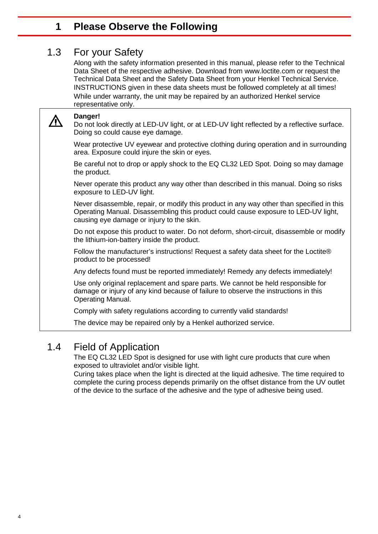#### <span id="page-3-0"></span>**1 Please Observe the Following**

### 1.3 For your Safety

Along with the safety information presented in this manual, please refer to the Technical Data Sheet of the respective adhesive. Download from [www.loctite.com](http://www.loctite.com/) or request the Technical Data Sheet and the Safety Data Sheet from your Henkel Technical Service. INSTRUCTIONS given in these data sheets must be followed completely at all times! While under warranty, the unit may be repaired by an authorized Henkel service representative only.

**Danger!**

Do not look directly at LED-UV light, or at LED-UV light reflected by a reflective surface. Doing so could cause eye damage.

Wear protective UV eyewear and protective clothing during operation and in surrounding area. Exposure could injure the skin or eyes.

Be careful not to drop or apply shock to the EQ CL32 LED Spot. Doing so may damage the product.

Never operate this product any way other than described in this manual. Doing so risks exposure to LED-UV light.

Never disassemble, repair, or modify this product in any way other than specified in this Operating Manual. Disassembling this product could cause exposure to LED-UV light, causing eye damage or injury to the skin.

Do not expose this product to water. Do not deform, short-circuit, disassemble or modify the lithium-ion-battery inside the product.

Follow the manufacturer's instructions! Request a safety data sheet for the Loctite® product to be processed!

Any defects found must be reported immediately! Remedy any defects immediately!

Use only original replacement and spare parts. We cannot be held responsible for damage or injury of any kind because of failure to observe the instructions in this Operating Manual.

Comply with safety regulations according to currently valid standards!

<span id="page-3-1"></span>The device may be repaired only by a Henkel authorized service.

### 1.4 Field of Application

The EQ CL32 LED Spot is designed for use with light cure products that cure when exposed to ultraviolet and/or visible light.

Curing takes place when the light is directed at the liquid adhesive. The time required to complete the curing process depends primarily on the offset distance from the UV outlet of the device to the surface of the adhesive and the type of adhesive being used.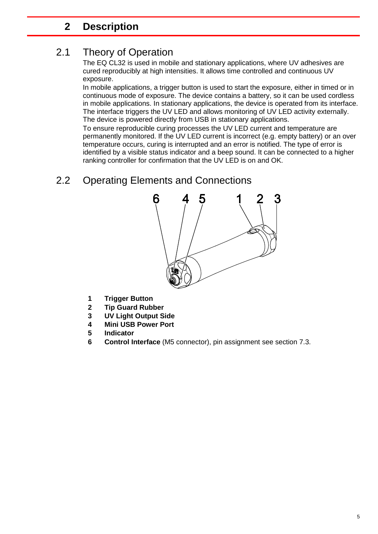### <span id="page-4-1"></span><span id="page-4-0"></span>**2 Description**

## 2.1 Theory of Operation

The EQ CL32 is used in mobile and stationary applications, where UV adhesives are cured reproducibly at high intensities. It allows time controlled and continuous UV exposure.

In mobile applications, a trigger button is used to start the exposure, either in timed or in continuous mode of exposure. The device contains a battery, so it can be used cordless in mobile applications. In stationary applications, the device is operated from its interface. The interface triggers the UV LED and allows monitoring of UV LED activity externally. The device is powered directly from USB in stationary applications.

To ensure reproducible curing processes the UV LED current and temperature are permanently monitored. If the UV LED current is incorrect (e.g. empty battery) or an over temperature occurs, curing is interrupted and an error is notified. The type of error is identified by a visible status indicator and a beep sound. It can be connected to a higher ranking controller for confirmation that the UV LED is on and OK.

## <span id="page-4-2"></span>2.2 Operating Elements and Connections



- **1 Trigger Button**
- **2 Tip Guard Rubber**
- **3 UV Light Output Side**
- **4 Mini USB Power Port**
- **5 Indicator**
- **6 Control Interface** (M5 connector), pin assignment see section 7.3.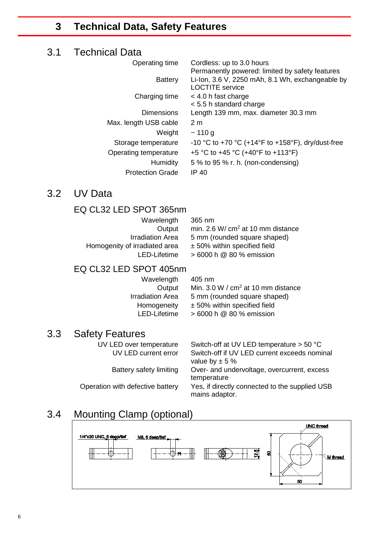### <span id="page-5-1"></span><span id="page-5-0"></span>**3 Technical Data, Safety Features**

#### 3.1 Technical Data

| Operating time          | Cordless: up to 3.0 hours                         |
|-------------------------|---------------------------------------------------|
|                         | Permanently powered: limited by safety features   |
| <b>Battery</b>          | Li-Ion, 3.6 V, 2250 mAh, 8.1 Wh, exchangeable by  |
|                         | <b>LOCTITE</b> service                            |
| Charging time           | $<$ 4.0 h fast charge                             |
|                         | $<$ 5.5 h standard charge                         |
| <b>Dimensions</b>       | Length 139 mm, max. diameter 30.3 mm              |
| Max. length USB cable   | 2 <sub>m</sub>                                    |
| Weight                  | ~110 g                                            |
| Storage temperature     | -10 °C to +70 °C (+14°F to +158°F), dry/dust-free |
| Operating temperature   | +5 °C to +45 °C (+40°F to +113°F)                 |
| Humidity                | 5 % to 95 % r. h. (non-condensing)                |
| <b>Protection Grade</b> | IP 40                                             |

### <span id="page-5-2"></span>3.2 UV Data

#### EQ CL32 LED SPOT 365nm

| 365 nm                                                |
|-------------------------------------------------------|
| min. $2.6 \text{ W} / \text{ cm}^2$ at 10 mm distance |
| 5 mm (rounded square shaped)                          |
| $±$ 50% within specified field                        |
| $>6000$ h $@$ 80 % emission                           |
|                                                       |

#### EQ CL32 LED SPOT 405nm

| Wavelength              | 405 nm                                         |
|-------------------------|------------------------------------------------|
| Output                  | Min. 3.0 W / cm <sup>2</sup> at 10 mm distance |
| <b>Irradiation Area</b> | 5 mm (rounded square shaped)                   |
| Homogeneity             | ± 50% within specified field                   |
| LED-Lifetime            | > 6000 h @ 80 % emission                       |
|                         |                                                |

# **3.3 Safety Features**<br>UV LED over temperature

<span id="page-5-3"></span>Switch-off at UV LED temperature  $> 50$  °C UV LED current error Switch-off if UV LED current exceeds nominal value by  $\pm$  5 % Battery safety limiting Over- and undervoltage, overcurrent, excess temperature Operation with defective battery Yes, if directly connected to the supplied USB mains adaptor.

## 3.4 Mounting Clamp (optional)

<span id="page-5-4"></span>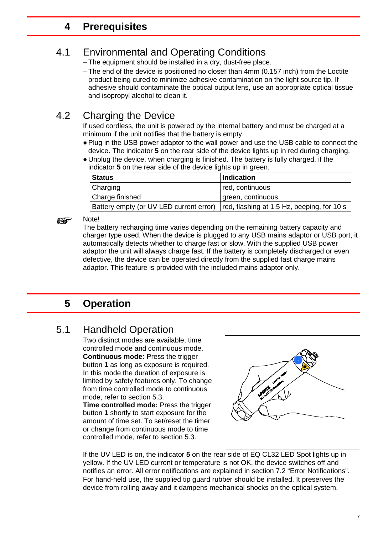### <span id="page-6-0"></span>**4 Prerequisites**

## 4.1 Environmental and Operating Conditions

- The equipment should be installed in a dry, dust-free place.
- The end of the device is positioned no closer than 4mm (0.157 inch) from the Loctite product being cured to minimize adhesive contamination on the light source tip. If adhesive should contaminate the optical output lens, use an appropriate optical tissue and isopropyl alcohol to clean it.

## 4.2 Charging the Device

<span id="page-6-1"></span>If used cordless, the unit is powered by the internal battery and must be charged at a minimum if the unit notifies that the battery is empty.

- Plug in the USB power adaptor to the wall power and use the USB cable to connect the device. The indicator **5** on the rear side of the device lights up in red during charging.
- Unplug the device, when charging is finished. The battery is fully charged, if the indicator **5** on the rear side of the device lights up in green.

| <b>Status</b>                                                                        | <b>Indication</b> |
|--------------------------------------------------------------------------------------|-------------------|
| Charging                                                                             | red, continuous   |
| Charge finished                                                                      | green, continuous |
| Battery empty (or UV LED current error)   red, flashing at 1.5 Hz, beeping, for 10 s |                   |

#### **its**

Note!

The battery recharging time varies depending on the remaining battery capacity and charger type used. When the device is plugged to any USB mains adaptor or USB port, it automatically detects whether to charge fast or slow. With the supplied USB power adaptor the unit will always charge fast. If the battery is completely discharged or even defective, the device can be operated directly from the supplied fast charge mains adaptor. This feature is provided with the included mains adaptor only.

### <span id="page-6-2"></span>**5 Operation**

### 5.1 Handheld Operation

Two distinct modes are available, time controlled mode and continuous mode. **Continuous mode:** Press the trigger button **1** as long as exposure is required. In this mode the duration of exposure is limited by safety features only. To change from time controlled mode to continuous mode, refer to section 5.3.

**Time controlled mode:** Press the trigger button **1** shortly to start exposure for the amount of time set. To set/reset the timer or change from continuous mode to time controlled mode, refer to section 5.3.



If the UV LED is on, the indicator **5** on the rear side of EQ CL32 LED Spot lights up in yellow. If the UV LED current or temperature is not OK, the device switches off and notifies an error. All error notifications are explained in section 7.2 "Error Notifications". For hand-held use, the supplied tip guard rubber should be installed. It preserves the device from rolling away and it dampens mechanical shocks on the optical system.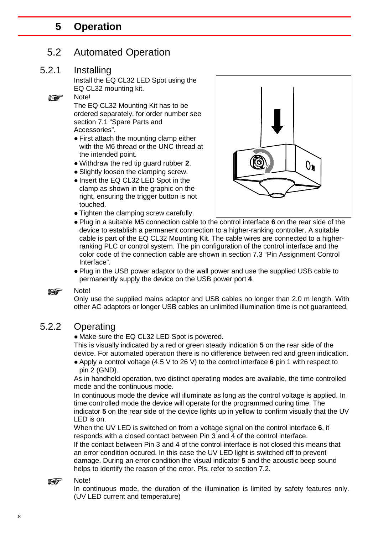#### <span id="page-7-0"></span>**5 Operation**

#### 5.2 Automated Operation

#### 5.2.1 Installing

<span id="page-7-1"></span>Install the EQ CL32 LED Spot using the EQ CL32 mounting kit. Note!

**If Search** 

The EQ CL32 Mounting Kit has to be ordered separately, for order number see section 7.1 "Spare Parts and Accessories".

- First attach the mounting clamp either with the M6 thread or the UNC thread at the intended point.
- Withdraw the red tip guard rubber **2**.
- Slightly loosen the clamping screw.
- Insert the EQ CL32 LED Spot in the clamp as shown in the graphic on the right, ensuring the trigger button is not touched.
- Tighten the clamping screw carefully.



- Plug in a suitable M5 connection cable to the control interface **6** on the rear side of the device to establish a permanent connection to a higher-ranking controller. A suitable cable is part of the EQ CL32 Mounting Kit. The cable wires are connected to a higherranking PLC or control system. The pin configuration of the control interface and the color code of the connection cable are shown in section 7.3 "Pin Assignment Control Interface".
- Plug in the USB power adaptor to the wall power and use the supplied USB cable to permanently supply the device on the USB power port **4**.

#### Note! **Report**

Only use the supplied mains adaptor and USB cables no longer than 2.0 m length. With other AC adaptors or longer USB cables an unlimited illumination time is not guaranteed.

#### 5.2.2 Operating

<span id="page-7-2"></span>• Make sure the EQ CL32 LED Spot is powered.

This is visually indicated by a red or green steady indication **5** on the rear side of the device. For automated operation there is no difference between red and green indication.

● Apply a control voltage (4.5 V to 26 V) to the control interface **6** pin 1 with respect to pin 2 (GND).

As in handheld operation, two distinct operating modes are available, the time controlled mode and the continuous mode.

In continuous mode the device will illuminate as long as the control voltage is applied. In time controlled mode the device will operate for the programmed curing time. The indicator **5** on the rear side of the device lights up in yellow to confirm visually that the UV LED is on.

When the UV LED is switched on from a voltage signal on the control interface **6**, it responds with a closed contact between Pin 3 and 4 of the control interface.

If the contact between Pin 3 and 4 of the control interface is not closed this means that an error condition occured. In this case the UV LED light is switched off to prevent damage. During an error condition the visual indicator **5** and the acoustic beep sound helps to identify the reason of the error. Pls. refer to section 7.2.

#### Note! **REA**

In continuous mode, the duration of the illumination is limited by safety features only. (UV LED current and temperature)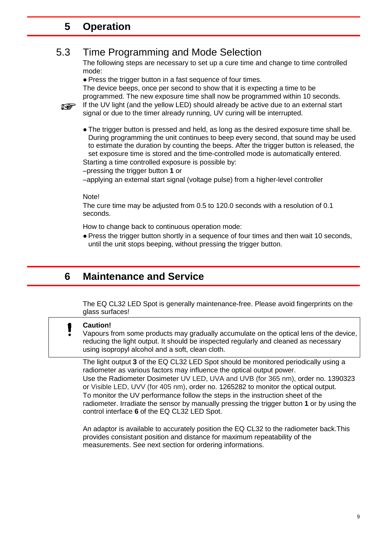#### **5 Operation**

#### 5.3 Time Programming and Mode Selection

The following steps are necessary to set up a cure time and change to time controlled mode:

● Press the trigger button in a fast sequence of four times.

The device beeps, once per second to show that it is expecting a time to be programmed. The new exposure time shall now be programmed within 10 seconds.

If the UV light (and the yellow LED) should already be active due to an external start signal or due to the timer already running, UV curing will be interrupted.

● The trigger button is pressed and held, as long as the desired exposure time shall be. During programming the unit continues to beep every second, that sound may be used to estimate the duration by counting the beeps. After the trigger button is released, the set exposure time is stored and the time-controlled mode is automatically entered. Starting a time controlled exposure is possible by:

–pressing the trigger button **1** or

–applying an external start signal (voltage pulse) from a higher-level controller

#### Note!

The cure time may be adjusted from 0.5 to 120.0 seconds with a resolution of 0.1 seconds.

How to change back to continuous operation mode:

• Press the trigger button shortly in a sequence of four times and then wait 10 seconds, until the unit stops beeping, without pressing the trigger button.

### <span id="page-8-0"></span>**6 Maintenance and Service**

The EQ CL32 LED Spot is generally maintenance-free. Please avoid fingerprints on the glass surfaces!

#### **Caution!** Π

Vapours from some products may gradually accumulate on the optical lens of the device, reducing the light output. It should be inspected regularly and cleaned as necessary using isopropyl alcohol and a soft, clean cloth.

The light output **3** of the EQ CL32 LED Spot should be monitored periodically using a radiometer as various factors may influence the optical output power. Use the Radiometer Dosimeter UV LED, UVA and UVB (for 365 nm), order no. 1390323 or Visible LED, UVV (for 405 nm), order no. 1265282 to monitor the optical output. To monitor the UV performance follow the steps in the instruction sheet of the radiometer. Irradiate the sensor by manually pressing the trigger button **1** or by using the control interface **6** of the EQ CL32 LED Spot.

An adaptor is available to accurately position the EQ CL32 to the radiometer back.This provides consistant position and distance for maximum repeatability of the measurements. See next section for ordering informations.

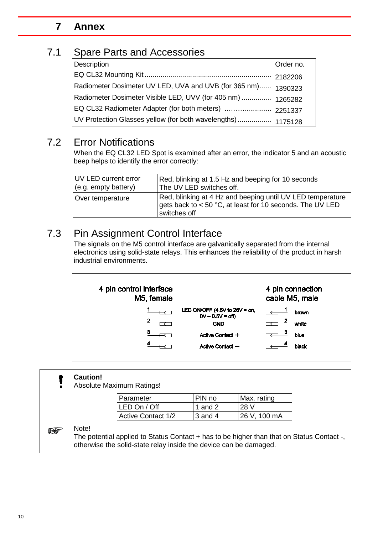#### <span id="page-9-1"></span><span id="page-9-0"></span>**7 Annex**

#### 7.1 Spare Parts and Accessories

| Description                                                   | Order no. |
|---------------------------------------------------------------|-----------|
|                                                               |           |
| Radiometer Dosimeter UV LED, UVA and UVB (for 365 nm) 1390323 |           |
| Radiometer Dosimeter Visible LED, UVV (for 405 nm)  1265282   |           |
|                                                               |           |
| UV Protection Glasses yellow (for both wavelengths)  1175128  |           |

#### 7.2 Error Notifications

When the EQ CL32 LED Spot is examined after an error, the indicator 5 and an acoustic beep helps to identify the error correctly:

| UV LED current error | Red, blinking at 1.5 Hz and beeping for 10 seconds                                                                                      |
|----------------------|-----------------------------------------------------------------------------------------------------------------------------------------|
| (e.g. empty battery) | The UV LED switches off.                                                                                                                |
| Over temperature     | Red, blinking at 4 Hz and beeping until UV LED temperature<br>gets back to < 50 °C, at least for 10 seconds. The UV LED<br>switches off |

### 7.3 Pin Assignment Control Interface

The signals on the M5 control interface are galvanically separated from the internal electronics using solid-state relays. This enhances the reliability of the product in harsh industrial environments.



#### **Caution!**

Absolute Maximum Ratings!

| Parameter                 | PIN no    | Max. rating   |
|---------------------------|-----------|---------------|
| LED On / Off              | 1 and 2   | 28 V          |
| <b>Active Contact 1/2</b> | $3$ and 4 | 126 V, 100 mA |

#### Note!

**REA** 

The potential applied to Status Contact + has to be higher than that on Status Contact -, otherwise the solid-state relay inside the device can be damaged.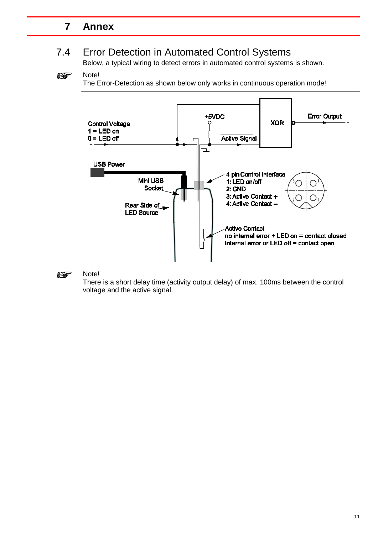### **7 Annex**

## 7.4 Error Detection in Automated Control Systems

Below, a typical wiring to detect errors in automated control systems is shown.

#### **Read** Note!

The Error-Detection as shown below only works in continuous operation mode!



#### Note! **REA**

There is a short delay time (activity output delay) of max. 100ms between the control voltage and the active signal.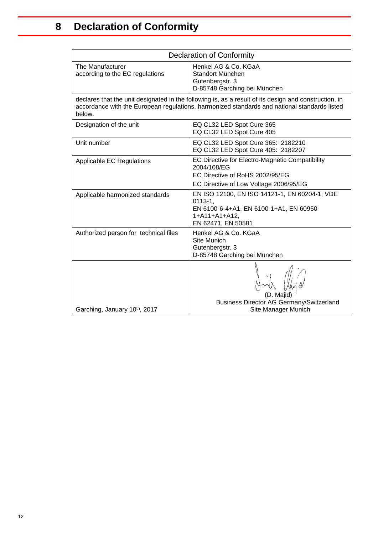<span id="page-11-0"></span>

| <b>Declaration of Conformity</b>                                                                                                                                                                                |                                                                                                                                                  |  |
|-----------------------------------------------------------------------------------------------------------------------------------------------------------------------------------------------------------------|--------------------------------------------------------------------------------------------------------------------------------------------------|--|
| The Manufacturer<br>according to the EC regulations                                                                                                                                                             | Henkel AG & Co. KGaA<br>Standort München<br>Gutenbergstr. 3<br>D-85748 Garching bei München                                                      |  |
| declares that the unit designated in the following is, as a result of its design and construction, in<br>accordance with the European regulations, harmonized standards and national standards listed<br>below. |                                                                                                                                                  |  |
| Designation of the unit                                                                                                                                                                                         | EQ CL32 LED Spot Cure 365<br>EQ CL32 LED Spot Cure 405                                                                                           |  |
| Unit number                                                                                                                                                                                                     | EQ CL32 LED Spot Cure 365: 2182210<br>EQ CL32 LED Spot Cure 405: 2182207                                                                         |  |
| Applicable EC Regulations                                                                                                                                                                                       | EC Directive for Electro-Magnetic Compatibility<br>2004/108/EG<br>EC Directive of RoHS 2002/95/EG<br>EC Directive of Low Voltage 2006/95/EG      |  |
| Applicable harmonized standards                                                                                                                                                                                 | EN ISO 12100, EN ISO 14121-1, EN 60204-1; VDE<br>$0113 - 1.$<br>EN 6100-6-4+A1, EN 6100-1+A1, EN 60950-<br>$1+A11+A1+A12,$<br>EN 62471, EN 50581 |  |
| Authorized person for technical files                                                                                                                                                                           | Henkel AG & Co. KGaA<br>Site Munich<br>Gutenbergstr. 3<br>D-85748 Garching bei München                                                           |  |
| Garching, January 10th, 2017                                                                                                                                                                                    | <b>Business Director AG Germany/Switzerland</b><br>Site Manager Munich                                                                           |  |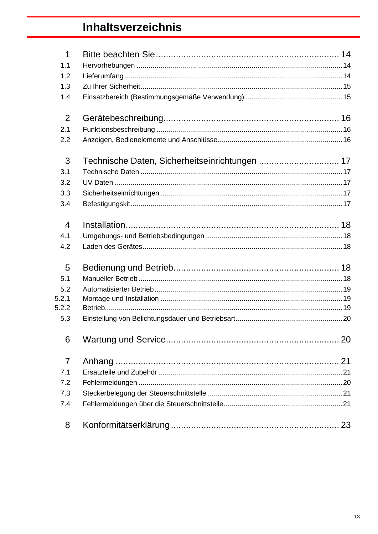## Inhaltsverzeichnis

| 1              |                                                |    |
|----------------|------------------------------------------------|----|
| 1.1            |                                                |    |
| 1.2            |                                                |    |
| 1.3            |                                                |    |
| 1.4            |                                                |    |
| 2              |                                                |    |
| 2.1            |                                                |    |
| 2.2            |                                                |    |
| 3              | Technische Daten, Sicherheitseinrichtungen  17 |    |
| 3.1            |                                                |    |
| 3.2            |                                                |    |
| 3.3            |                                                |    |
| 3.4            |                                                |    |
| $\overline{4}$ |                                                |    |
| 4.1            |                                                |    |
| 4.2            |                                                |    |
| 5              |                                                |    |
| 5.1            |                                                |    |
| 5.2            |                                                |    |
| 5.2.1          |                                                |    |
| 5.2.2          |                                                |    |
| 5.3            |                                                |    |
| 6              |                                                | 20 |
| $\overline{7}$ |                                                |    |
| 7.1            |                                                |    |
| 7.2            |                                                |    |
| 7.3            |                                                |    |
| 7.4            |                                                |    |
| 8              |                                                |    |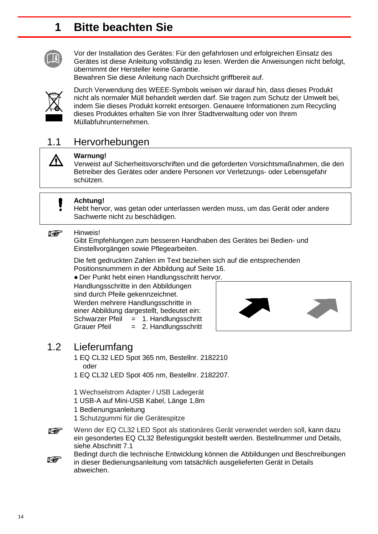## <span id="page-13-0"></span>**1 Bitte beachten Sie**



Vor der Installation des Gerätes: Für den gefahrlosen und erfolgreichen Einsatz des Gerätes ist diese Anleitung vollständig zu lesen. Werden die Anweisungen nicht befolgt, übernimmt der Hersteller keine Garantie.

Bewahren Sie diese Anleitung nach Durchsicht griffbereit auf.



/Ņ

Durch Verwendung des WEEE-Symbols weisen wir darauf hin, dass dieses Produkt nicht als normaler Müll behandelt werden darf. Sie tragen zum Schutz der Umwelt bei, indem Sie dieses Produkt korrekt entsorgen. Genauere Informationen zum Recycling dieses Produktes erhalten Sie von Ihrer Stadtverwaltung oder von Ihrem Müllabfuhrunternehmen.

### <span id="page-13-1"></span>1.1 Hervorhebungen



Verweist auf Sicherheitsvorschriften und die geforderten Vorsichtsmaßnahmen, die den Betreiber des Gerätes oder andere Personen vor Verletzungs- oder Lebensgefahr schützen.



#### **Achtung!**

Hebt hervor, was getan oder unterlassen werden muss, um das Gerät oder andere Sachwerte nicht zu beschädigen.

#### Hinweis! **REA**

Gibt Empfehlungen zum besseren Handhaben des Gerätes bei Bedien- und Einstellvorgängen sowie Pflegearbeiten.

Die fett gedruckten Zahlen im Text beziehen sich auf die entsprechenden Positionsnummern in der Abbildung auf Seite 16.

● Der Punkt hebt einen Handlungsschritt hervor.

Handlungsschritte in den Abbildungen sind durch Pfeile gekennzeichnet. Werden mehrere Handlungsschritte in einer Abbildung dargestellt, bedeutet ein: Schwarzer Pfeil = 1. Handlungsschritt<br>Grauer Pfeil = 2. Handlungsschritt  $= 2$ . Handlungsschritt



### 1.2 Lieferumfang

- <span id="page-13-2"></span>1 EQ CL32 LED Spot 365 nm, Bestellnr. 2182210 oder
- 1 EQ CL32 LED Spot 405 nm, Bestellnr. 2182207.
- 1 Wechselstrom Adapter / USB Ladegerät
- 1 USB-A auf Mini-USB Kabel, Länge 1,8m
- 1 Bedienungsanleitung
- 1 Schutzgummi für die Gerätespitze



Bedingt durch die technische Entwicklung können die Abbildungen und Beschreibungen **Report** in dieser Bedienungsanleitung vom tatsächlich ausgelieferten Gerät in Details abweichen.

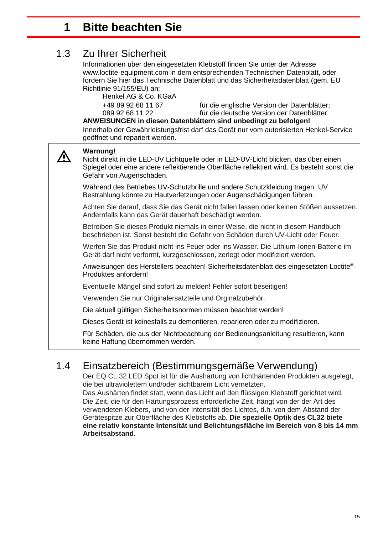## **1 Bitte beachten Sie**

### 1.3 Zu Ihrer Sicherheit

<span id="page-14-0"></span>Informationen über den eingesetzten Klebstoff finden Sie unter der Adresse [www.loctite-equipment.com](http://www.loctite-equipment.com/) in dem entsprechenden Technischen Datenblatt, oder fordern Sie hier das Technische Datenblatt und das Sicherheitsdatenblatt (gem. EU Richtlinie 91/155/EU) an:

Henkel AG & Co. KGaA

+49 89 92 68 11 67 für die englische Version der Datenblätter; für die deutsche Version der Datenblätter.

#### **ANWEISUNGEN in diesen Datenblättern sind unbedingt zu befolgen!**

Innerhalb der Gewährleistungsfrist darf das Gerät nur vom autorisierten Henkel-Service geöffnet und repariert werden.

#### $\bigwedge$ Nicht direkt in die LED-UV Lichtquelle oder in LED-UV-Licht blicken, das über einen Spiegel oder eine andere reflektierende Oberfläche reflektiert wird. Es besteht sonst die Gefahr von Augenschäden. Während des Betriebes UV-Schutzbrille und andere Schutzkleidung tragen. UV Bestrahlung könnte zu Hautverletzungen oder Augenschädigungen führen. Achten Sie darauf, dass Sie das Gerät nicht fallen lassen oder keinen Stößen aussetzen. Andernfalls kann das Gerät dauerhaft beschädigt werden.

**Warnung!**

Betreiben Sie dieses Produkt niemals in einer Weise, die nicht in diesem Handbuch beschrieben ist. Sonst besteht die Gefahr von Schäden durch UV-Licht oder Feuer.

Werfen Sie das Produkt nicht ins Feuer oder ins Wasser. Die Lithium-Ionen-Batterie im Gerät darf nicht verformt, kurzgeschlossen, zerlegt oder modifiziert werden.

Anweisungen des Herstellers beachten! Sicherheitsdatenblatt des eingesetzten Loctite®- Produktes anfordern!

Eventuelle Mängel sind sofort zu melden! Fehler sofort beseitigen!

Verwenden Sie nur Originalersatzteile und Orginalzubehör.

Die aktuell gültigen Sicherheitsnormen müssen beachtet werden!

Dieses Gerät ist keinesfalls zu demontieren, reparieren oder zu modifizieren.

<span id="page-14-1"></span>Für Schäden, die aus der Nichtbeachtung der Bedienungsanleitung resultieren, kann keine Haftung übernommen werden.

### 1.4 Einsatzbereich (Bestimmungsgemäße Verwendung)

Der EQ CL 32 LED Spot ist für die Aushärtung von lichthärtenden Produkten ausgelegt, die bei ultraviolettem und/oder sichtbarem Licht vernetzten.

Das Aushärten findet statt, wenn das Licht auf den flüssigen Klebstoff gerichtet wird. Die Zeit, die für den Härtungsprozess erforderliche Zeit, hängt von der der Art des verwendeten Klebers, und von der Intensität des Lichtes, d.h. von dem Abstand der Gerätespitze zur Oberfläche des Klebstoffs ab. **Die spezielle Optik des CL32 biete eine relativ konstante Intensität und Belichtungsfläche im Bereich von 8 bis 14 mm Arbeitsabstand.**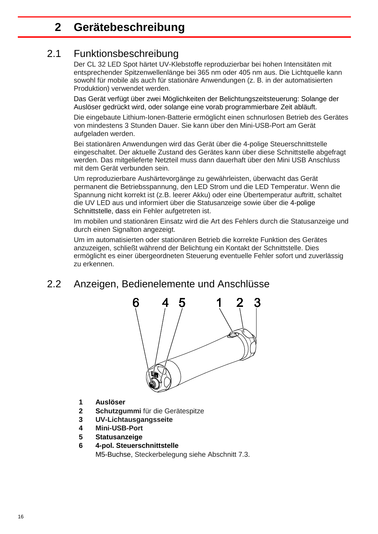## <span id="page-15-0"></span>**2 Gerätebeschreibung**

#### 2.1 Funktionsbeschreibung

<span id="page-15-1"></span>Der CL 32 LED Spot härtet UV-Klebstoffe reproduzierbar bei hohen Intensitäten mit entsprechender Spitzenwellenlänge bei 365 nm oder 405 nm aus. Die Lichtquelle kann sowohl für mobile als auch für stationäre Anwendungen (z. B. in der automatisierten Produktion) verwendet werden.

Das Gerät verfügt über zwei Möglichkeiten der Belichtungszeitsteuerung: Solange der Auslöser gedrückt wird, oder solange eine vorab programmierbare Zeit abläuft.

Die eingebaute Lithium-Ionen-Batterie ermöglicht einen schnurlosen Betrieb des Gerätes von mindestens 3 Stunden Dauer. Sie kann über den Mini-USB-Port am Gerät aufgeladen werden.

Bei stationären Anwendungen wird das Gerät über die 4-polige Steuerschnittstelle eingeschaltet. Der aktuelle Zustand des Gerätes kann über diese Schnittstelle abgefragt werden. Das mitgelieferte Netzteil muss dann dauerhaft über den Mini USB Anschluss mit dem Gerät verbunden sein.

Um reproduzierbare Aushärtevorgänge zu gewährleisten, überwacht das Gerät permanent die Betriebsspannung, den LED Strom und die LED Temperatur. Wenn die Spannung nicht korrekt ist (z.B. leerer Akku) oder eine Übertemperatur auftritt, schaltet die UV LED aus und informiert über die Statusanzeige sowie über die 4-polige Schnittstelle, dass ein Fehler aufgetreten ist.

Im mobilen und stationären Einsatz wird die Art des Fehlers durch die Statusanzeige und durch einen Signalton angezeigt.

Um im automatisierten oder stationären Betrieb die korrekte Funktion des Gerätes anzuzeigen, schließt während der Belichtung ein Kontakt der Schnittstelle. Dies ermöglicht es einer übergeordneten Steuerung eventuelle Fehler sofort und zuverlässig zu erkennen.

### <span id="page-15-2"></span>2.2 Anzeigen, Bedienelemente und Anschlüsse



- **1 Auslöser**
- **2 Schutzgummi** für die Gerätespitze
- **3 UV-Lichtausgangsseite**
- **4 Mini-USB-Port**
- **5 Statusanzeige**

#### **6 4-pol. Steuerschnittstelle** M5-Buchse, Steckerbelegung siehe Abschnitt 7.3.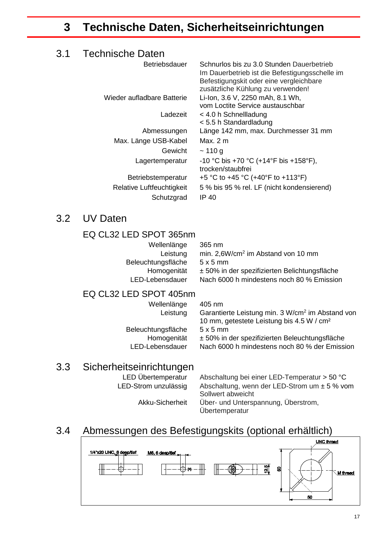## <span id="page-16-1"></span><span id="page-16-0"></span>**3 Technische Daten, Sicherheitseinrichtungen**

### 3.1 Technische Daten

| <b>Betriebsdauer</b>       | Schnurlos bis zu 3.0 Stunden Dauerbetrieb<br>Im Dauerbetrieb ist die Befestigungsschelle im<br>Befestigungskit oder eine vergleichbare<br>zusätzliche Kühlung zu verwenden! |
|----------------------------|-----------------------------------------------------------------------------------------------------------------------------------------------------------------------------|
| Wieder aufladbare Batterie | Li-Ion, 3.6 V, 2250 mAh, 8.1 Wh,<br>vom Loctite Service austauschbar                                                                                                        |
| Ladezeit                   | $<$ 4.0 h Schnellladung<br>< 5.5 h Standardladung                                                                                                                           |
| Abmessungen                | Länge 142 mm, max. Durchmesser 31 mm                                                                                                                                        |
| Max. Länge USB-Kabel       | Max. $2 \text{ m}$                                                                                                                                                          |
| Gewicht                    | ~110 g                                                                                                                                                                      |
| Lagertemperatur            | -10 °C bis +70 °C (+14°F bis +158°F),<br>trocken/staubfrei                                                                                                                  |
| Betriebstemperatur         | +5 °C to +45 °C (+40°F to +113°F)                                                                                                                                           |
| Relative Luftfeuchtigkeit  | 5 % bis 95 % rel. LF (nicht kondensierend)                                                                                                                                  |
| Schutzgrad                 | IP 40                                                                                                                                                                       |
|                            |                                                                                                                                                                             |

#### <span id="page-16-2"></span>3.2 UV Daten

#### EQ CL32 LED SPOT 365nm

| Wellenlänge        | 36  |
|--------------------|-----|
| Leistung           | mir |
| Beleuchtungsfläche | 5 x |
| Homogenität        | ± 5 |
| LED-Lebensdauer    | Na  |

5 nm n. 2,6W/cm<sup>2</sup> im Abstand von 10 mm  $5 \text{ mm}$ 50% in der spezifizierten Belichtungsfläche ch 6000 h mindestens noch 80 % Emission

#### EQ CL32 LED SPOT 405nm

Wellenlänge 405 nm Leistung Garantierte Leistung min. 3 W/cm<sup>2</sup> im Abstand von 10 mm, getestete Leistung bis 4.5 W / cm² Beleuchtungsfläche 5 x 5 mm<br>Homogenität ± 50% in Homogenität ± 50% in der spezifizierten Beleuchtungsfläche<br>LED-Lebensdauer Nach 6000 h mindestens noch 80 % der Emissi Nach 6000 h mindestens noch 80 % der Emission

#### <span id="page-16-3"></span>3.3 Sicherheitseinrichtungen

LED Übertemperatur Abschaltung bei einer LED-Temperatur > 50 °C<br>LED-Strom unzulässig Abschaltung, wenn der LED-Strom um ± 5 % vo Abschaltung, wenn der LED-Strom um  $\pm$  5 % vom Sollwert abweicht Akku-Sicherheit Über- und Unterspannung, Überstrom, Übertemperatur

## 3.4 Abmessungen des Befestigungskits (optional erhältlich)

<span id="page-16-4"></span>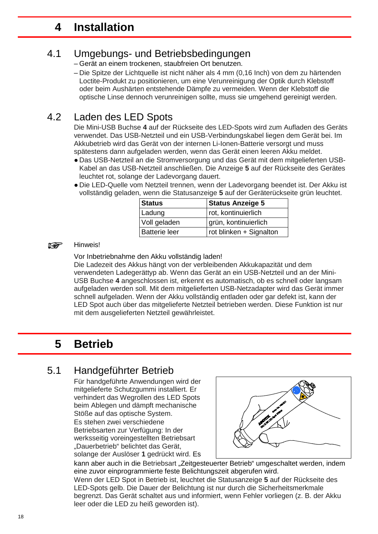## <span id="page-17-0"></span>**4 Installation**

#### 4.1 Umgebungs- und Betriebsbedingungen

<span id="page-17-1"></span>– Gerät an einem trockenen, staubfreien Ort benutzen.

– Die Spitze der Lichtquelle ist nicht näher als 4 mm (0,16 Inch) von dem zu härtenden Loctite-Produkt zu positionieren, um eine Verunreinigung der Optik durch Klebstoff oder beim Aushärten entstehende Dämpfe zu vermeiden. Wenn der Klebstoff die optische Linse dennoch verunreinigen sollte, muss sie umgehend gereinigt werden.

## 4.2 Laden des LED Spots

<span id="page-17-2"></span>Die Mini-USB Buchse **4** auf der Rückseite des LED-Spots wird zum Aufladen des Geräts verwendet. Das USB-Netzteil und ein USB-Verbindungskabel liegen dem Gerät bei. Im Akkubetrieb wird das Gerät von der internen Li-Ionen-Batterie versorgt und muss spätestens dann aufgeladen werden, wenn das Gerät einen leeren Akku meldet.

- Das USB-Netzteil an die Stromversorgung und das Gerät mit dem mitgelieferten USB-Kabel an das USB-Netzteil anschließen. Die Anzeige **5** auf der Rückseite des Gerätes leuchtet rot, solange der Ladevorgang dauert.
- Die LED-Quelle vom Netzteil trennen, wenn der Ladevorgang beendet ist. Der Akku ist vollständig geladen, wenn die Statusanzeige **5** auf der Geräterückseite grün leuchtet.

| <b>Status</b>        | <b>Status Anzeige 5</b> |
|----------------------|-------------------------|
| Ladung               | rot, kontinuierlich     |
| Voll geladen         | grün, kontinuierlich    |
| <b>Batterie leer</b> | rot blinken + Signalton |

#### Hinweis! r 1

Vor Inbetriebnahme den Akku vollständig laden!

Die Ladezeit des Akkus hängt von der verbleibenden Akkukapazität und dem verwendeten Ladegerättyp ab. Wenn das Gerät an ein USB-Netzteil und an der Mini-USB Buchse **4** angeschlossen ist, erkennt es automatisch, ob es schnell oder langsam aufgeladen werden soll. Mit dem mitgelieferten USB-Netzadapter wird das Gerät immer schnell aufgeladen. Wenn der Akku vollständig entladen oder gar defekt ist, kann der LED Spot auch über das mitgelieferte Netzteil betrieben werden. Diese Funktion ist nur mit dem ausgelieferten Netzteil gewährleistet.

## <span id="page-17-3"></span>**5 Betrieb**

## 5.1 Handgeführter Betrieb

<span id="page-17-4"></span>Für handgeführte Anwendungen wird der mitgelieferte Schutzgummi installiert. Er verhindert das Wegrollen des LED Spots beim Ablegen und dämpft mechanische Stöße auf das optische System. Es stehen zwei verschiedene Betriebsarten zur Verfügung: In der werksseitig voreingestellten Betriebsart "Dauerbetrieb" belichtet das Gerät, solange der Auslöser **1** gedrückt wird. Es



kann aber auch in die Betriebsart "Zeitgesteuerter Betrieb" umgeschaltet werden, indem eine zuvor einprogrammierte feste Belichtungszeit abgerufen wird.

Wenn der LED Spot in Betrieb ist, leuchtet die Statusanzeige **5** auf der Rückseite des LED-Spots gelb. Die Dauer der Belichtung ist nur durch die Sicherheitsmerkmale begrenzt. Das Gerät schaltet aus und informiert, wenn Fehler vorliegen (z. B. der Akku leer oder die LED zu heiß geworden ist).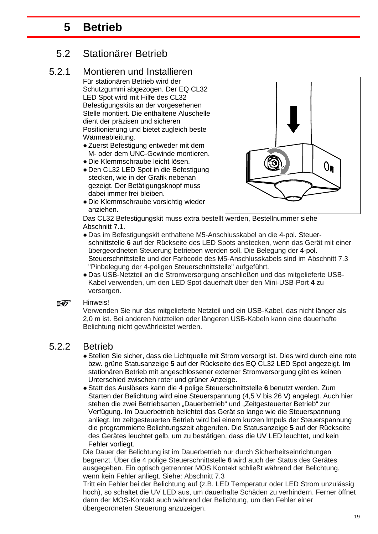## <span id="page-18-0"></span>**5 Betrieb**

### 5.2 Stationärer Betrieb

#### 5.2.1 Montieren und Installieren

<span id="page-18-1"></span>Für stationären Betrieb wird der Schutzgummi abgezogen. Der EQ CL32 LED Spot wird mit Hilfe des CL32 Befestigungskits an der vorgesehenen Stelle montiert. Die enthaltene Aluschelle dient der präzisen und sicheren Positionierung und bietet zugleich beste Wärmeableitung.

- Zuerst Befestigung entweder mit dem M- oder dem UNC-Gewinde montieren.
- Die Klemmschraube leicht lösen.
- Den CL32 LED Spot in die Befestigung stecken, wie in der Grafik nebenan gezeigt. Der Betätigungsknopf muss dabei immer frei bleiben.
- Die Klemmschraube vorsichtig wieder anziehen.



Das CL32 Befestigungskit muss extra bestellt werden, Bestellnummer siehe Abschnitt 7.1.

- Das im Befestigungskit enthaltene M5-Anschlusskabel an die 4-pol. Steuerschnittstelle **6** auf der Rückseite des LED Spots anstecken, wenn das Gerät mit einer übergeordneten Steuerung betrieben werden soll. Die Belegung der 4-pol. Steuerschnittstelle und der Farbcode des M5-Anschlusskabels sind im Abschnitt 7.3 "Pinbelegung der 4-poligen Steuerschnittstelle" aufgeführt.
- Das USB-Netzteil an die Stromversorgung anschließen und das mitgelieferte USB-Kabel verwenden, um den LED Spot dauerhaft über den Mini-USB-Port **4** zu versorgen.

#### **Read** Hinweis!

Verwenden Sie nur das mitgelieferte Netzteil und ein USB-Kabel, das nicht länger als 2,0 m ist. Bei anderen Netzteilen oder längeren USB-Kabeln kann eine dauerhafte Belichtung nicht gewährleistet werden.

#### 5.2.2 Betrieb

- <span id="page-18-2"></span>● Stellen Sie sicher, dass die Lichtquelle mit Strom versorgt ist. Dies wird durch eine rote bzw. grüne Statusanzeige **5** auf der Rückseite des EQ CL32 LED Spot angezeigt. Im stationären Betrieb mit angeschlossener externer Stromversorgung gibt es keinen Unterschied zwischen roter und grüner Anzeige.
- Statt des Auslösers kann die 4 polige Steuerschnittstelle **6** benutzt werden. Zum Starten der Belichtung wird eine Steuerspannung (4,5 V bis 26 V) angelegt. Auch hier stehen die zwei Betriebsarten "Dauerbetrieb" und "Zeitgesteuerter Betrieb" zur Verfügung. Im Dauerbetrieb belichtet das Gerät so lange wie die Steuerspannung anliegt. Im zeitgesteuerten Betrieb wird bei einem kurzen Impuls der Steuerspannung die programmierte Belichtungszeit abgerufen. Die Statusanzeige **5** auf der Rückseite des Gerätes leuchtet gelb, um zu bestätigen, dass die UV LED leuchtet, und kein Fehler vorliegt.

Die Dauer der Belichtung ist im Dauerbetrieb nur durch Sicherheitseinrichtungen begrenzt. Über die 4 polige Steuerschnittstelle **6** wird auch der Status des Gerätes ausgegeben. Ein optisch getrennter MOS Kontakt schließt während der Belichtung, wenn kein Fehler anliegt. Siehe: Abschnitt 7.3

Tritt ein Fehler bei der Belichtung auf (z.B. LED Temperatur oder LED Strom unzulässig hoch), so schaltet die UV LED aus, um dauerhafte Schäden zu verhindern. Ferner öffnet dann der MOS-Kontakt auch während der Belichtung, um den Fehler einer übergeordneten Steuerung anzuzeigen.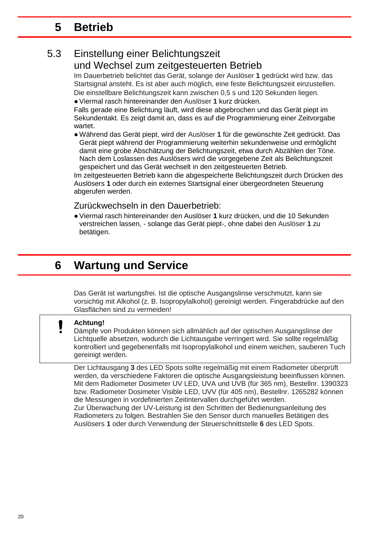## <span id="page-19-0"></span>**5 Betrieb**

#### 5.3 Einstellung einer Belichtungszeit und Wechsel zum zeitgesteuerten Betrieb

Im Dauerbetrieb belichtet das Gerät, solange der Auslöser **1** gedrückt wird bzw. das Startsignal ansteht. Es ist aber auch möglich, eine feste Belichtungszeit einzustellen. Die einstellbare Belichtungszeit kann zwischen 0,5 s und 120 Sekunden liegen. ● Viermal rasch hintereinander den Auslöser **1** kurz drücken.

Falls gerade eine Belichtung läuft, wird diese abgebrochen und das Gerät piept im Sekundentakt. Es zeigt damit an, dass es auf die Programmierung einer Zeitvorgabe wartet.

● Während das Gerät piept, wird der Auslöser **1** für die gewünschte Zeit gedrückt. Das Gerät piept während der Programmierung weiterhin sekundenweise und ermöglicht damit eine grobe Abschätzung der Belichtungszeit, etwa durch Abzählen der Töne. Nach dem Loslassen des Auslösers wird die vorgegebene Zeit als Belichtungszeit gespeichert und das Gerät wechselt in den zeitgesteuerten Betrieb.

Im zeitgesteuerten Betrieb kann die abgespeicherte Belichtungszeit durch Drücken des Auslösers **1** oder durch ein externes Startsignal einer übergeordneten Steuerung abgerufen werden.

Zurückwechseln in den Dauerbetrieb:

● Viermal rasch hintereinander den Auslöser **1** kurz drücken, und die 10 Sekunden verstreichen lassen, - solange das Gerät piept-, ohne dabei den Auslöser **1** zu betätigen.

## <span id="page-19-1"></span>**6 Wartung und Service**

Das Gerät ist wartungsfrei. Ist die optische Ausgangslinse verschmutzt, kann sie vorsichtig mit Alkohol (z. B. Isopropylalkohol) gereinigt werden. Fingerabdrücke auf den Glasflächen sind zu vermeiden!

#### **Achtung!**

Dämpfe von Produkten können sich allmählich auf der optischen Ausgangslinse der Lichtquelle absetzen, wodurch die Lichtausgabe verringert wird. Sie sollte regelmäßig kontrolliert und gegebenenfalls mit Isopropylalkohol und einem weichen, sauberen Tuch gereinigt werden.

Der Lichtausgang **3** des LED Spots sollte regelmäßig mit einem Radiometer überprüft werden, da verschiedene Faktoren die optische Ausgangsleistung beeinflussen können. Mit dem Radiometer Dosimeter UV LED, UVA und UVB (für 365 nm), Bestellnr. 1390323 bzw. Radiometer Dosimeter Visible LED, UVV (für 405 nm), Bestellnr. 1265282 können die Messungen in vordefinierten Zeitintervallen durchgeführt werden.

Zur Überwachung der UV-Leistung ist den Schritten der Bedienungsanleitung des Radiometers zu folgen. Bestrahlen Sie den Sensor durch manuelles Betätigen des Auslösers **1** oder durch Verwendung der Steuerschnittstelle **6** des LED Spots.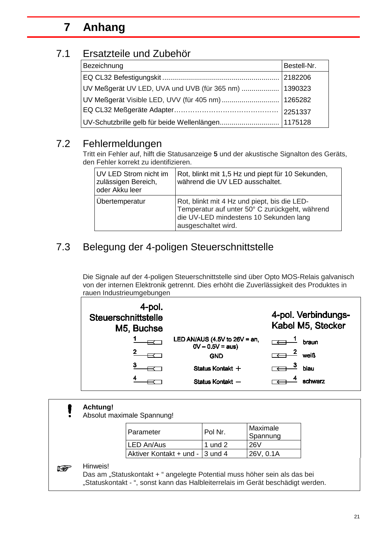## <span id="page-20-0"></span>**7 Anhang**

### 7.1 Ersatzteile und Zubehör

<span id="page-20-1"></span>

| Bezeichnung                                         | Bestell-Nr. |
|-----------------------------------------------------|-------------|
|                                                     | 2182206     |
|                                                     |             |
| UV Meßgerät Visible LED, UVV (für 405 nm)  1265282  |             |
|                                                     |             |
| UV-Schutzbrille gelb für beide Wellenlängen 1175128 |             |

### 7.2 Fehlermeldungen

Tritt ein Fehler auf, hilft die Statusanzeige **5** und der akustische Signalton des Geräts, den Fehler korrekt zu identifizieren.

| UV LED Strom nicht im<br>zulässigen Bereich,<br>oder Akku leer | Rot, blinkt mit 1,5 Hz und piept für 10 Sekunden,<br>während die UV LED ausschaltet.                                                                            |
|----------------------------------------------------------------|-----------------------------------------------------------------------------------------------------------------------------------------------------------------|
| Übertemperatur                                                 | Rot, blinkt mit 4 Hz und piept, bis die LED-<br>Temperatur auf unter 50° C zurückgeht, während<br>die UV-LED mindestens 10 Sekunden lang<br>ausgeschaltet wird. |

## <span id="page-20-2"></span>7.3 Belegung der 4-poligen Steuerschnittstelle

Die Signale auf der 4-poligen Steuerschnittstelle sind über Opto MOS-Relais galvanisch von der internen Elektronik getrennt. Dies erhöht die Zuverlässigkeit des Produktes in rauen Industrieumgebungen



#### **Achtung!** 1

Absolut maximale Spannung!

| Parameter                       | Pol Nr.   | Maximale<br>Spannung |
|---------------------------------|-----------|----------------------|
| LED An/Aus                      | 1 und $2$ | <b>26V</b>           |
| Aktiver Kontakt + und - 3 und 4 |           | 126V. 0.1A           |

#### Hinweis! **Report**

Das am "Statuskontakt + " angelegte Potential muss höher sein als das bei "Statuskontakt - ", sonst kann das Halbleiterrelais im Gerät beschädigt werden.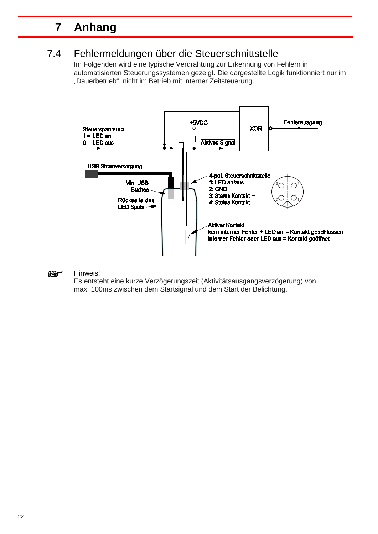## **7 Anhang**

## 7.4 Fehlermeldungen über die Steuerschnittstelle

Im Folgenden wird eine typische Verdrahtung zur Erkennung von Fehlern in automatisierten Steuerungssystemen gezeigt. Die dargestellte Logik funktionniert nur im "Dauerbetrieb", nicht im Betrieb mit interner Zeitsteuerung.



**REA** Hinweis!

Es entsteht eine kurze Verzögerungszeit (Aktivitätsausgangsverzögerung) von max. 100ms zwischen dem Startsignal und dem Start der Belichtung.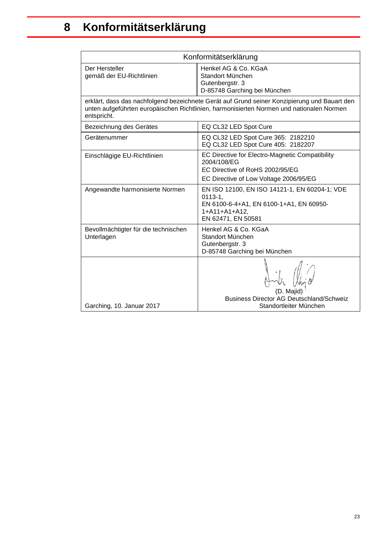<span id="page-22-0"></span>

| Konformitätserklärung                                                                                                                                                                                   |                                                                                                                                                |  |  |  |
|---------------------------------------------------------------------------------------------------------------------------------------------------------------------------------------------------------|------------------------------------------------------------------------------------------------------------------------------------------------|--|--|--|
| Der Hersteller<br>gemäß der EU-Richtlinien                                                                                                                                                              | Henkel AG & Co. KGaA<br>Standort München<br>Gutenbergstr. 3<br>D-85748 Garching bei München                                                    |  |  |  |
| erklärt, dass das nachfolgend bezeichnete Gerät auf Grund seiner Konzipierung und Bauart den<br>unten aufgeführten europäischen Richtlinien, harmonisierten Normen und nationalen Normen<br>entspricht. |                                                                                                                                                |  |  |  |
| Bezeichnung des Gerätes                                                                                                                                                                                 | EQ CL32 LED Spot Cure                                                                                                                          |  |  |  |
| Gerätenummer                                                                                                                                                                                            | EQ CL32 LED Spot Cure 365: 2182210<br>EQ CL32 LED Spot Cure 405: 2182207                                                                       |  |  |  |
| Einschlägige EU-Richtlinien                                                                                                                                                                             | EC Directive for Electro-Magnetic Compatibility<br>2004/108/EG<br>EC Directive of RoHS 2002/95/EG<br>EC Directive of Low Voltage 2006/95/EG    |  |  |  |
| Angewandte harmonisierte Normen                                                                                                                                                                         | EN ISO 12100, EN ISO 14121-1, EN 60204-1; VDE<br>$0113 - 1,$<br>EN 6100-6-4+A1, EN 6100-1+A1, EN 60950-<br>1+A11+A1+A12,<br>EN 62471, EN 50581 |  |  |  |
| Bevollmächtigter für die technischen<br>Unterlagen                                                                                                                                                      | Henkel AG & Co. KGaA<br>Standort München<br>Gutenbergstr. 3<br>D-85748 Garching bei München                                                    |  |  |  |
| Garching, 10. Januar 2017                                                                                                                                                                               | <b>Business Director AG Deutschland/Schweiz</b><br>Standortleiter München                                                                      |  |  |  |